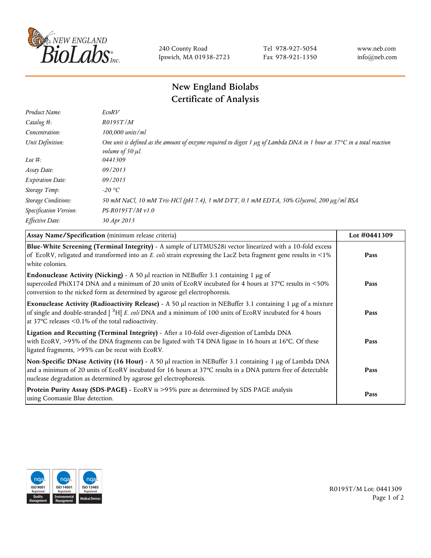

240 County Road Ipswich, MA 01938-2723 Tel 978-927-5054 Fax 978-921-1350 www.neb.com info@neb.com

## **New England Biolabs Certificate of Analysis**

| Product Name:              | EcoRV                                                                                                                                                                  |
|----------------------------|------------------------------------------------------------------------------------------------------------------------------------------------------------------------|
| Catalog $#$ :              | R0195T/M                                                                                                                                                               |
| Concentration:             | $100,000$ units/ml                                                                                                                                                     |
| Unit Definition:           | One unit is defined as the amount of enzyme required to digest 1 $\mu$ g of Lambda DNA in 1 hour at 37°C in a total reaction<br><i>volume of 50 <math>\mu</math>l.</i> |
| Lot $\#$ :                 | 0441309                                                                                                                                                                |
| Assay Date:                | 09/2013                                                                                                                                                                |
| <b>Expiration Date:</b>    | 09/2015                                                                                                                                                                |
| Storage Temp:              | $-20$ °C                                                                                                                                                               |
| <b>Storage Conditions:</b> | 50 mM NaCl, 10 mM Tris-HCl (pH 7.4), 1 mM DTT, 0.1 mM EDTA, 50% Glycerol, 200 µg/ml BSA                                                                                |
| Specification Version:     | $PS-R0195T/Mv1.0$                                                                                                                                                      |
| Effective Date:            | 30 Apr 2013                                                                                                                                                            |

| Assay Name/Specification (minimum release criteria)                                                                                                                                                                                                                                               | Lot #0441309 |
|---------------------------------------------------------------------------------------------------------------------------------------------------------------------------------------------------------------------------------------------------------------------------------------------------|--------------|
| Blue-White Screening (Terminal Integrity) - A sample of LITMUS28i vector linearized with a 10-fold excess<br>of EcoRV, religated and transformed into an E. coli strain expressing the LacZ beta fragment gene results in <1%<br>white colonies.                                                  | Pass         |
| <b>Endonuclease Activity (Nicking)</b> - A 50 $\mu$ I reaction in NEBuffer 3.1 containing 1 $\mu$ g of<br>supercoiled PhiX174 DNA and a minimum of 20 units of EcoRV incubated for 4 hours at 37°C results in <50%<br>conversion to the nicked form as determined by agarose gel electrophoresis. | Pass         |
| Exonuclease Activity (Radioactivity Release) - A 50 µl reaction in NEBuffer 3.1 containing 1 µg of a mixture<br>of single and double-stranded $\int^3 H$ E. coli DNA and a minimum of 100 units of EcoRV incubated for 4 hours<br>at 37 $\degree$ C releases < 0.1% of the total radioactivity.   | Pass         |
| Ligation and Recutting (Terminal Integrity) - After a 10-fold over-digestion of Lambda DNA<br>with EcoRV, >95% of the DNA fragments can be ligated with T4 DNA ligase in 16 hours at 16°C. Of these<br>ligated fragments, >95% can be recut with EcoRV.                                           | Pass         |
| Non-Specific DNase Activity (16 Hour) - A 50 µl reaction in NEBuffer 3.1 containing 1 µg of Lambda DNA<br>and a minimum of 20 units of EcoRV incubated for 16 hours at 37°C results in a DNA pattern free of detectable<br>nuclease degradation as determined by agarose gel electrophoresis.     | Pass         |
| Protein Purity Assay (SDS-PAGE) - EcoRV is >95% pure as determined by SDS PAGE analysis<br>using Coomassie Blue detection.                                                                                                                                                                        | Pass         |



R0195T/M Lot: 0441309 Page 1 of 2